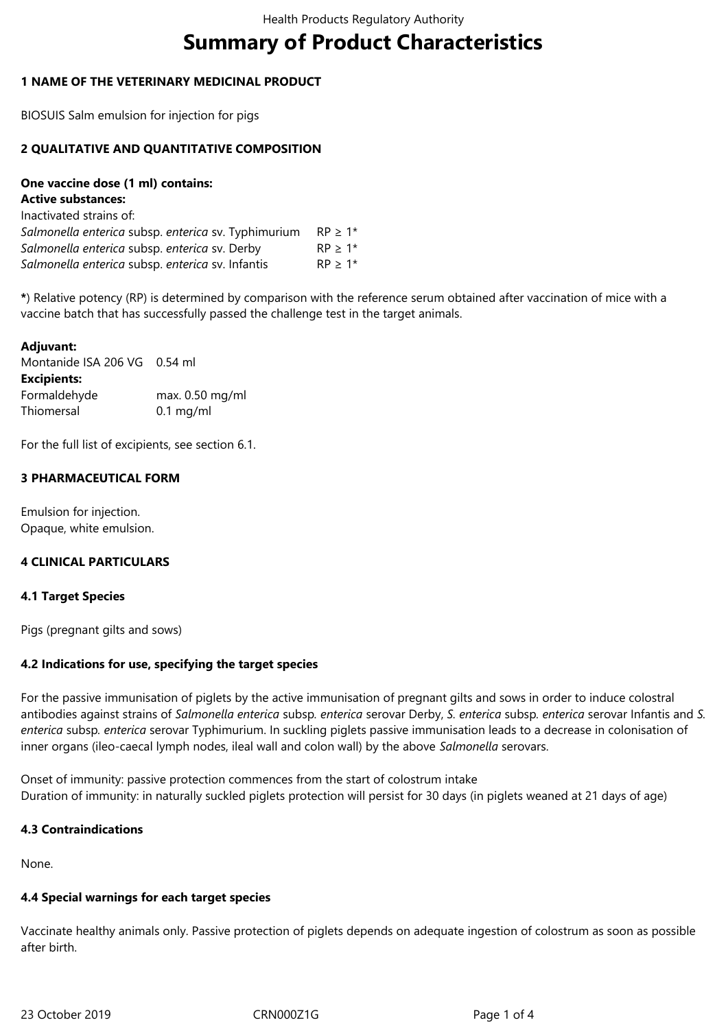# **Summary of Product Characteristics**

#### **1 NAME OF THE VETERINARY MEDICINAL PRODUCT**

BIOSUIS Salm emulsion for injection for pigs

#### **2 QUALITATIVE AND QUANTITATIVE COMPOSITION**

# **One vaccine dose (1 ml) contains:**

| <b>Active substances:</b> |  |
|---------------------------|--|
|---------------------------|--|

| $RP > 1*$ |
|-----------|
| $RP > 1*$ |
| $RP > 1*$ |
|           |

**\***) Relative potency (RP) is determined by comparison with the reference serum obtained after vaccination of mice with a vaccine batch that has successfully passed the challenge test in the target animals.

# **Adjuvant:** Montanide ISA 206 VG 0.54 ml **Excipients:** Formaldehyde max. 0.50 mg/ml Thiomersal 0.1 mg/ml

For the full list of excipients, see section 6.1.

# **3 PHARMACEUTICAL FORM**

Emulsion for injection. Opaque, white emulsion.

# **4 CLINICAL PARTICULARS**

#### **4.1 Target Species**

Pigs (pregnant gilts and sows)

# **4.2 Indications for use, specifying the target species**

For the passive immunisation of piglets by the active immunisation of pregnant gilts and sows in order to induce colostral antibodies against strains of *Salmonella enterica* subsp*. enterica* serovar Derby, *S. enterica* subsp*. enterica* serovar Infantis and *S. enterica* subsp*. enterica* serovar Typhimurium. In suckling piglets passive immunisation leads to a decrease in colonisation of inner organs (ileo-caecal lymph nodes, ileal wall and colon wall) by the above *Salmonella* serovars.

Onset of immunity: passive protection commences from the start of colostrum intake Duration of immunity: in naturally suckled piglets protection will persist for 30 days (in piglets weaned at 21 days of age)

#### **4.3 Contraindications**

None.

# **4.4 Special warnings for each target species**

Vaccinate healthy animals only. Passive protection of piglets depends on adequate ingestion of colostrum as soon as possible after birth.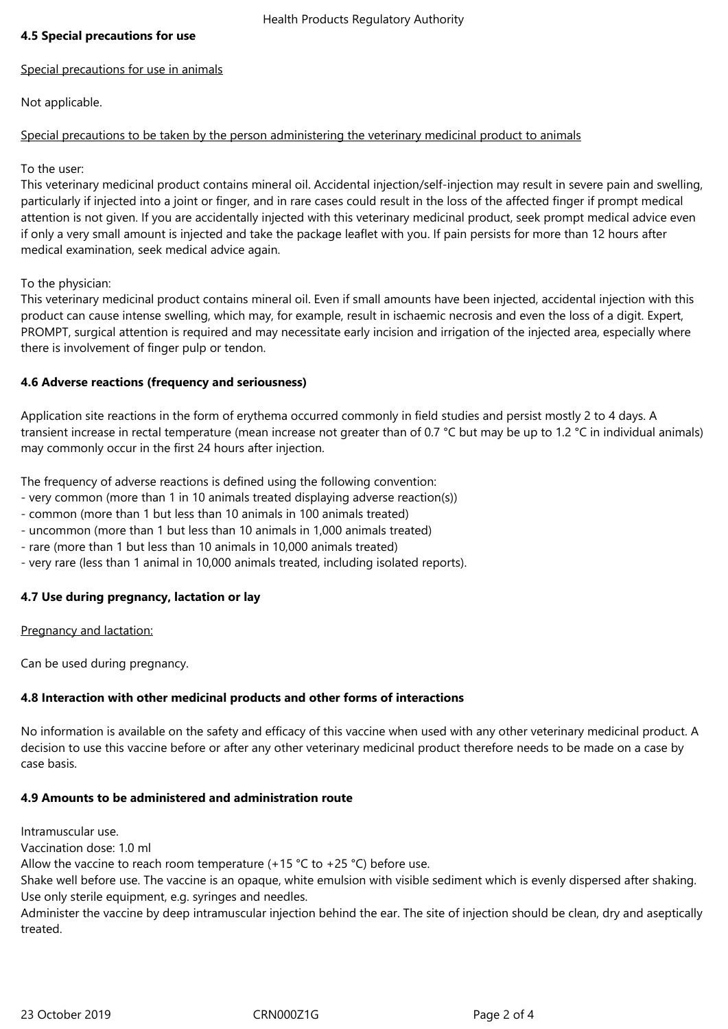#### **4.5 Special precautions for use**

#### Special precautions for use in animals

Not applicable.

# Special precautions to be taken by the person administering the veterinary medicinal product to animals

To the user:

This veterinary medicinal product contains mineral oil. Accidental injection/self-injection may result in severe pain and swelling, particularly if injected into a joint or finger, and in rare cases could result in the loss of the affected finger if prompt medical attention is not given. If you are accidentally injected with this veterinary medicinal product, seek prompt medical advice even if only a very small amount is injected and take the package leaflet with you. If pain persists for more than 12 hours after medical examination, seek medical advice again.

To the physician:

This veterinary medicinal product contains mineral oil. Even if small amounts have been injected, accidental injection with this product can cause intense swelling, which may, for example, result in ischaemic necrosis and even the loss of a digit. Expert, PROMPT, surgical attention is required and may necessitate early incision and irrigation of the injected area, especially where there is involvement of finger pulp or tendon.

# **4.6 Adverse reactions (frequency and seriousness)**

Application site reactions in the form of erythema occurred commonly in field studies and persist mostly 2 to 4 days. A transient increase in rectal temperature (mean increase not greater than of 0.7 °C but may be up to 1.2 °C in individual animals) may commonly occur in the first 24 hours after injection.

The frequency of adverse reactions is defined using the following convention:

- very common (more than 1 in 10 animals treated displaying adverse reaction(s))
- common (more than 1 but less than 10 animals in 100 animals treated)
- uncommon (more than 1 but less than 10 animals in 1,000 animals treated)
- rare (more than 1 but less than 10 animals in 10,000 animals treated)
- very rare (less than 1 animal in 10,000 animals treated, including isolated reports).

# **4.7 Use during pregnancy, lactation or lay**

#### Pregnancy and lactation:

Can be used during pregnancy.

# **4.8 Interaction with other medicinal products and other forms of interactions**

No information is available on the safety and efficacy of this vaccine when used with any other veterinary medicinal product. A decision to use this vaccine before or after any other veterinary medicinal product therefore needs to be made on a case by case basis.

#### **4.9 Amounts to be administered and administration route**

Intramuscular use.

Vaccination dose: 1.0 ml

Allow the vaccine to reach room temperature  $(+15 \degree C)$  to  $+25 \degree C)$  before use.

Shake well before use. The vaccine is an opaque, white emulsion with visible sediment which is evenly dispersed after shaking. Use only sterile equipment, e.g. syringes and needles.

Administer the vaccine by deep intramuscular injection behind the ear. The site of injection should be clean, dry and aseptically treated.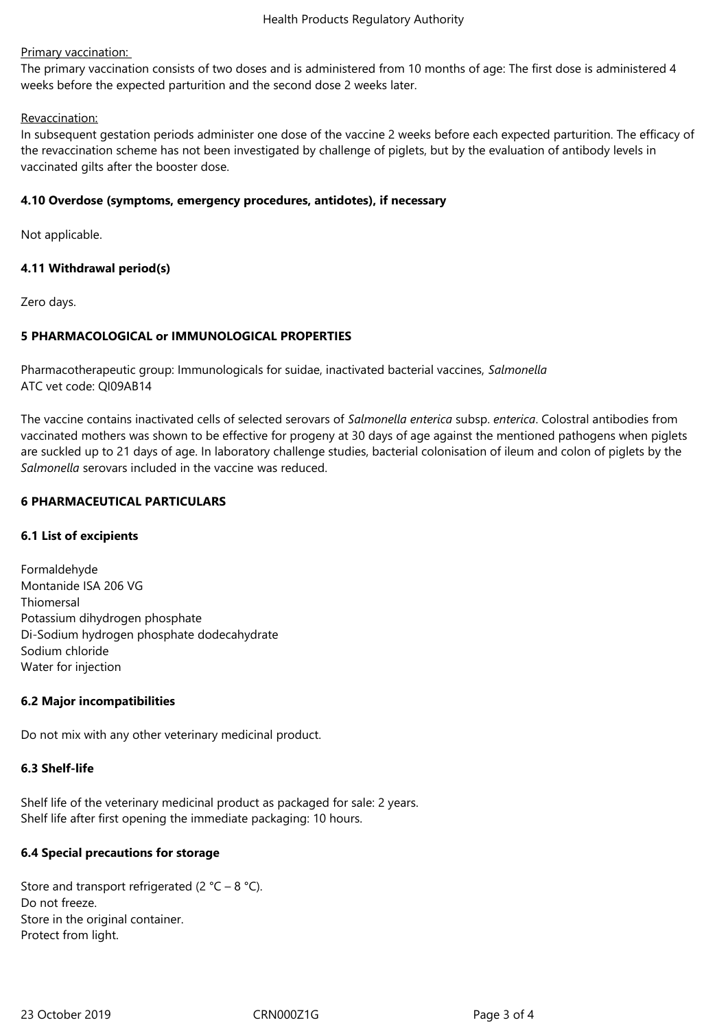#### Primary vaccination:

The primary vaccination consists of two doses and is administered from 10 months of age: The first dose is administered 4 weeks before the expected parturition and the second dose 2 weeks later.

#### Revaccination:

In subsequent gestation periods administer one dose of the vaccine 2 weeks before each expected parturition. The efficacy of the revaccination scheme has not been investigated by challenge of piglets, but by the evaluation of antibody levels in vaccinated gilts after the booster dose.

#### **4.10 Overdose (symptoms, emergency procedures, antidotes), if necessary**

Not applicable.

# **4.11 Withdrawal period(s)**

Zero days.

#### **5 PHARMACOLOGICAL or IMMUNOLOGICAL PROPERTIES**

Pharmacotherapeutic group: Immunologicals for suidae, inactivated bacterial vaccines, *Salmonella* ATC vet code: QI09AB14

The vaccine contains inactivated cells of selected serovars of *Salmonella enterica* subsp. *enterica*. Colostral antibodies from vaccinated mothers was shown to be effective for progeny at 30 days of age against the mentioned pathogens when piglets are suckled up to 21 days of age. In laboratory challenge studies, bacterial colonisation of ileum and colon of piglets by the *Salmonella* serovars included in the vaccine was reduced.

#### **6 PHARMACEUTICAL PARTICULARS**

#### **6.1 List of excipients**

Formaldehyde Montanide ISA 206 VG Thiomersal Potassium dihydrogen phosphate Di-Sodium hydrogen phosphate dodecahydrate Sodium chloride Water for injection

#### **6.2 Major incompatibilities**

Do not mix with any other veterinary medicinal product.

# **6.3 Shelf-life**

Shelf life of the veterinary medicinal product as packaged for sale: 2 years. Shelf life after first opening the immediate packaging: 10 hours.

#### **6.4 Special precautions for storage**

Store and transport refrigerated (2  $^{\circ}$ C – 8  $^{\circ}$ C). Do not freeze. Store in the original container. Protect from light.